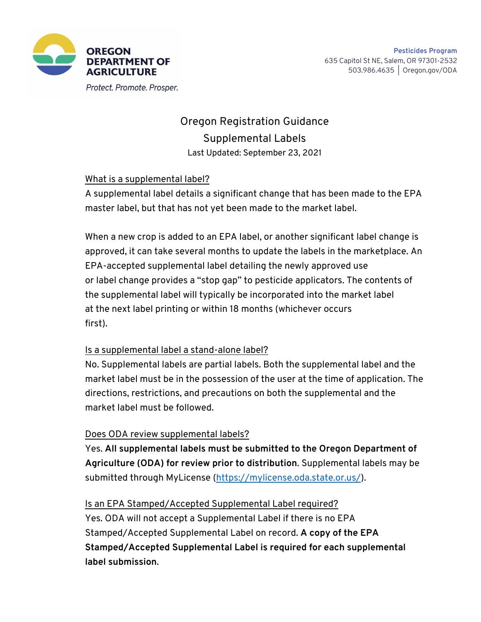

Protect. Promote. Prosper.

# Oregon Registration Guidance Supplemental Labels Last Updated: September 23, 2021

## What is a supplemental label?

A supplemental label details a significant change that has been made to the EPA master label, but that has not yet been made to the market label.

When a new crop is added to an EPA label, or another significant label change is approved, it can take several months to update the labels in the marketplace. An EPA-accepted supplemental label detailing the newly approved use or label change provides a "stop gap" to pesticide applicators. The contents of the supplemental label will typically be incorporated into the market label at the next label printing or within 18 months (whichever occurs first).

#### Is a supplemental label a stand-alone label?

No. Supplemental labels are partial labels. Both the supplemental label and the market label must be in the possession of the user at the time of application. The directions, restrictions, and precautions on both the supplemental and the market label must be followed.

# Does ODA review supplemental labels?

Yes. **All supplemental labels must be submitted to the Oregon Department of Agriculture (ODA) for review prior to distribution**. Supplemental labels may be submitted through MyLicense (https://mylicense.oda.state.or.us/).

# Is an EPA Stamped/Accepted Supplemental Label required?

Yes. ODA will not accept a Supplemental Label if there is no EPA Stamped/Accepted Supplemental Label on record. **A copy of the EPA Stamped/Accepted Supplemental Label is required for each supplemental label submission**.